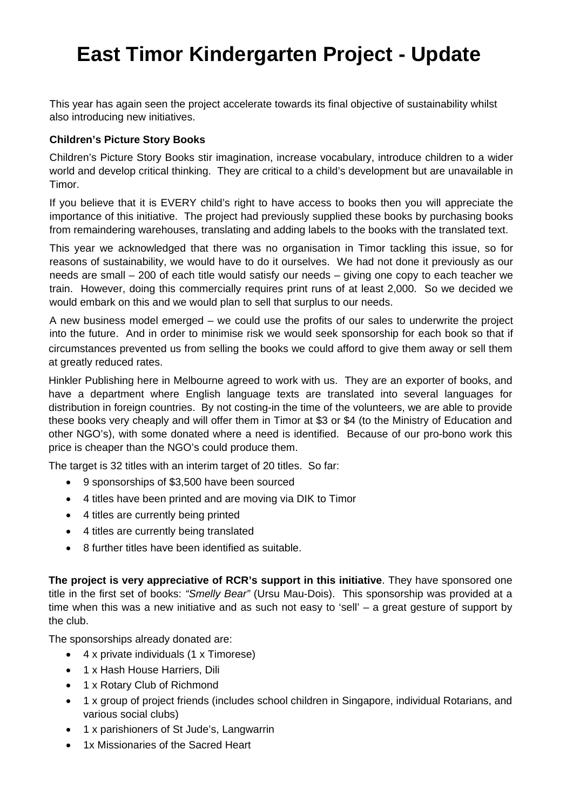# **East Timor Kindergarten Project - Update**

This year has again seen the project accelerate towards its final objective of sustainability whilst also introducing new initiatives.

# **Children's Picture Story Books**

Children's Picture Story Books stir imagination, increase vocabulary, introduce children to a wider world and develop critical thinking. They are critical to a child's development but are unavailable in Timor.

If you believe that it is EVERY child's right to have access to books then you will appreciate the importance of this initiative. The project had previously supplied these books by purchasing books from remaindering warehouses, translating and adding labels to the books with the translated text.

This year we acknowledged that there was no organisation in Timor tackling this issue, so for reasons of sustainability, we would have to do it ourselves. We had not done it previously as our needs are small – 200 of each title would satisfy our needs – giving one copy to each teacher we train. However, doing this commercially requires print runs of at least 2,000. So we decided we would embark on this and we would plan to sell that surplus to our needs.

A new business model emerged – we could use the profits of our sales to underwrite the project into the future. And in order to minimise risk we would seek sponsorship for each book so that if circumstances prevented us from selling the books we could afford to give them away or sell them at greatly reduced rates.

Hinkler Publishing here in Melbourne agreed to work with us. They are an exporter of books, and have a department where English language texts are translated into several languages for distribution in foreign countries. By not costing-in the time of the volunteers, we are able to provide these books very cheaply and will offer them in Timor at \$3 or \$4 (to the Ministry of Education and other NGO's), with some donated where a need is identified. Because of our pro-bono work this price is cheaper than the NGO's could produce them.

The target is 32 titles with an interim target of 20 titles. So far:

- 9 sponsorships of \$3,500 have been sourced
- 4 titles have been printed and are moving via DIK to Timor
- 4 titles are currently being printed
- 4 titles are currently being translated
- 8 further titles have been identified as suitable.

**The project is very appreciative of RCR's support in this initiative**. They have sponsored one title in the first set of books: *"Smelly Bear"* (Ursu Mau-Dois). This sponsorship was provided at a time when this was a new initiative and as such not easy to 'sell' – a great gesture of support by the club.

The sponsorships already donated are:

- 4 x private individuals (1 x Timorese)
- 1 x Hash House Harriers, Dili
- 1 x Rotary Club of Richmond
- 1 x group of project friends (includes school children in Singapore, individual Rotarians, and various social clubs)
- 1 x parishioners of St Jude's, Langwarrin
- 1x Missionaries of the Sacred Heart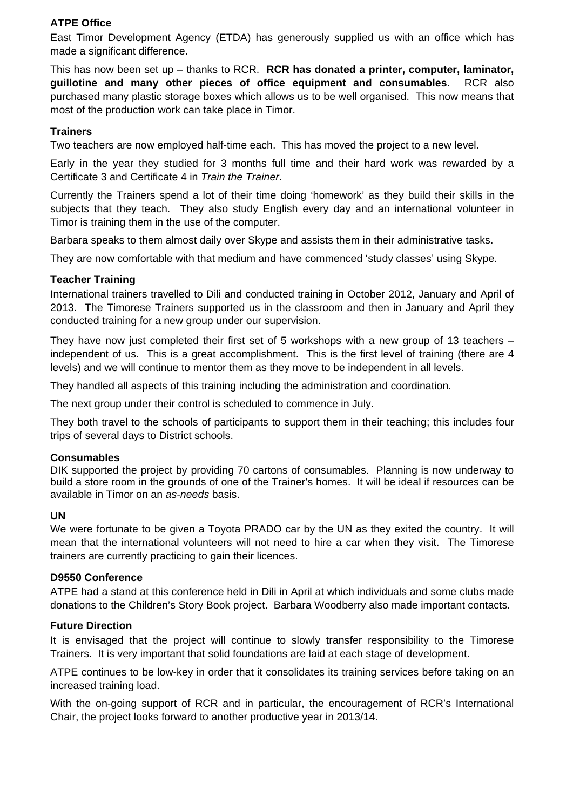# **ATPE Office**

East Timor Development Agency (ETDA) has generously supplied us with an office which has made a significant difference.

This has now been set up – thanks to RCR. **RCR has donated a printer, computer, laminator, guillotine and many other pieces of office equipment and consumables**. RCR also purchased many plastic storage boxes which allows us to be well organised. This now means that most of the production work can take place in Timor.

## **Trainers**

Two teachers are now employed half-time each. This has moved the project to a new level.

Early in the year they studied for 3 months full time and their hard work was rewarded by a Certificate 3 and Certificate 4 in *Train the Trainer*.

Currently the Trainers spend a lot of their time doing 'homework' as they build their skills in the subjects that they teach. They also study English every day and an international volunteer in Timor is training them in the use of the computer.

Barbara speaks to them almost daily over Skype and assists them in their administrative tasks.

They are now comfortable with that medium and have commenced 'study classes' using Skype.

## **Teacher Training**

International trainers travelled to Dili and conducted training in October 2012, January and April of 2013. The Timorese Trainers supported us in the classroom and then in January and April they conducted training for a new group under our supervision.

They have now just completed their first set of 5 workshops with a new group of 13 teachers – independent of us. This is a great accomplishment. This is the first level of training (there are 4 levels) and we will continue to mentor them as they move to be independent in all levels.

They handled all aspects of this training including the administration and coordination.

The next group under their control is scheduled to commence in July.

They both travel to the schools of participants to support them in their teaching; this includes four trips of several days to District schools.

## **Consumables**

DIK supported the project by providing 70 cartons of consumables. Planning is now underway to build a store room in the grounds of one of the Trainer's homes. It will be ideal if resources can be available in Timor on an *as-needs* basis.

## **UN**

We were fortunate to be given a Toyota PRADO car by the UN as they exited the country. It will mean that the international volunteers will not need to hire a car when they visit. The Timorese trainers are currently practicing to gain their licences.

## **D9550 Conference**

ATPE had a stand at this conference held in Dili in April at which individuals and some clubs made donations to the Children's Story Book project. Barbara Woodberry also made important contacts.

## **Future Direction**

It is envisaged that the project will continue to slowly transfer responsibility to the Timorese Trainers. It is very important that solid foundations are laid at each stage of development.

ATPE continues to be low-key in order that it consolidates its training services before taking on an increased training load.

With the on-going support of RCR and in particular, the encouragement of RCR's International Chair, the project looks forward to another productive year in 2013/14.